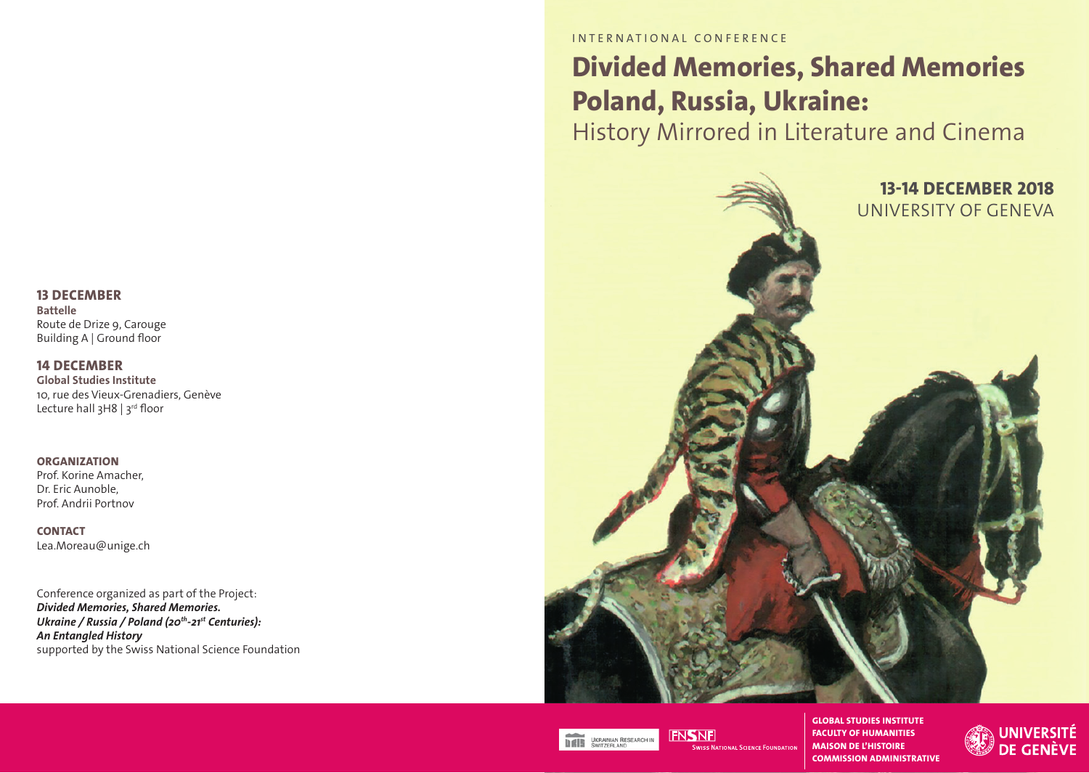# **13 DECEMBER**

**Battelle** Route de Drize 9, Carouge Building A | Ground floor

## **14 DECEMBER**

**Global Studies Institute** 10, rue des Vieux-Grenadiers, Genève Lecture hall 3H8 | 3rd floor

**ORGANIZATION** Prof. Korine Amacher, Dr. Eric Aunoble, Prof. Andrii Portnov

**CONTACT** Lea.Moreau@unige.ch

Conference organized as part of the Project: *Divided Memories, Shared Memories. Ukraine / Russia / Poland (20th-21st Centuries): An Entangled History* supported by the Swiss National Science Foundation INTERNATIONAL CONFERENCE

# **Divided Memories, Shared Memories Poland, Russia, Ukraine:**

History Mirrored in Literature and Cinema





**FNSNF** 

**FACULTY OF HUMANITIES MAISON DE L'HISTOIRE SWISS NATIONAL SCIENCE FOUNDATION COMMISSION ADMINISTRATIVE**